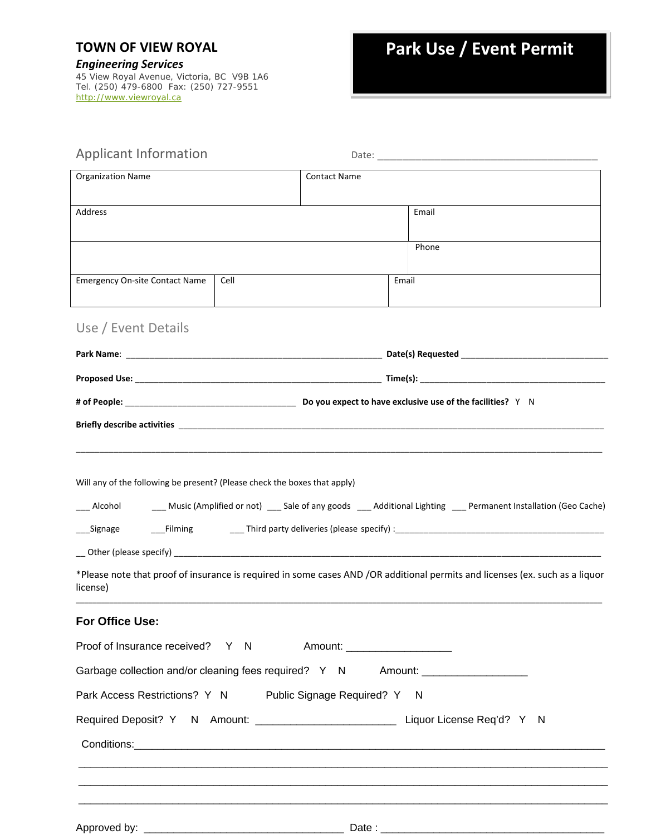## **TOWN OF VIEW ROYAL**

*Engineering Services* 45 View Royal Avenue, Victoria, BC V9B 1A6 Tel. (250) 479-6800 Fax: (250) 727-9551 http://www.viewroyal.ca

| Applicant Information                                                                                                                                                                                                         |      |                     |                                                                                                                              |
|-------------------------------------------------------------------------------------------------------------------------------------------------------------------------------------------------------------------------------|------|---------------------|------------------------------------------------------------------------------------------------------------------------------|
| <b>Organization Name</b>                                                                                                                                                                                                      |      | <b>Contact Name</b> |                                                                                                                              |
| Address                                                                                                                                                                                                                       |      |                     | Email                                                                                                                        |
|                                                                                                                                                                                                                               |      |                     | Phone                                                                                                                        |
| <b>Emergency On-site Contact Name</b>                                                                                                                                                                                         | Cell |                     | Email                                                                                                                        |
| Use / Event Details                                                                                                                                                                                                           |      |                     |                                                                                                                              |
|                                                                                                                                                                                                                               |      |                     |                                                                                                                              |
|                                                                                                                                                                                                                               |      |                     |                                                                                                                              |
|                                                                                                                                                                                                                               |      |                     |                                                                                                                              |
|                                                                                                                                                                                                                               |      |                     |                                                                                                                              |
|                                                                                                                                                                                                                               |      |                     |                                                                                                                              |
| Will any of the following be present? (Please check the boxes that apply)                                                                                                                                                     |      |                     |                                                                                                                              |
| Alcohol                                                                                                                                                                                                                       |      |                     | Music (Amplified or not) ___ Sale of any goods ___ Additional Lighting ___ Permanent Installation (Geo Cache)                |
| __Signage                                                                                                                                                                                                                     |      |                     |                                                                                                                              |
|                                                                                                                                                                                                                               |      |                     |                                                                                                                              |
| license)                                                                                                                                                                                                                      |      |                     | *Please note that proof of insurance is required in some cases AND /OR additional permits and licenses (ex. such as a liquor |
| For Office Use:                                                                                                                                                                                                               |      |                     |                                                                                                                              |
| Proof of Insurance received? Y N Amount:                                                                                                                                                                                      |      |                     |                                                                                                                              |
|                                                                                                                                                                                                                               |      |                     | Garbage collection and/or cleaning fees required? Y N Amount: __________________                                             |
| Park Access Restrictions? Y N Public Signage Required? Y N                                                                                                                                                                    |      |                     |                                                                                                                              |
|                                                                                                                                                                                                                               |      |                     | Required Deposit? Y N Amount: ___________________________________ Liquor License Req'd? Y N                                  |
| Conditions: experience and the conditions of the conditions of the conditions of the conditions of the conditions of the conditions of the conditions of the conditions of the conditions of the conditions of the conditions |      |                     |                                                                                                                              |
|                                                                                                                                                                                                                               |      |                     |                                                                                                                              |
|                                                                                                                                                                                                                               |      |                     |                                                                                                                              |
|                                                                                                                                                                                                                               |      |                     |                                                                                                                              |
|                                                                                                                                                                                                                               |      |                     |                                                                                                                              |